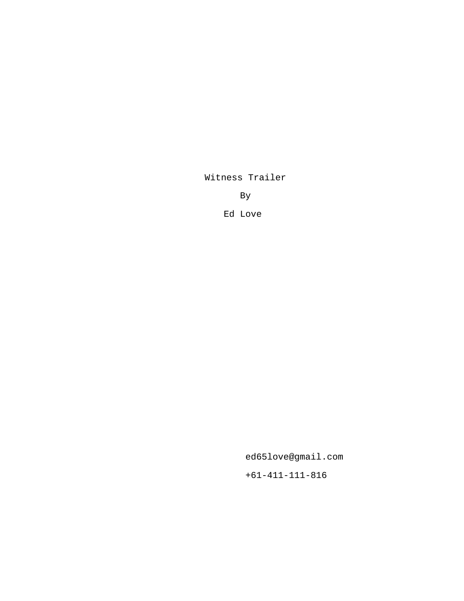Witness Trailer

By

Ed Love

ed65love@gmail.com

+61-411-111-816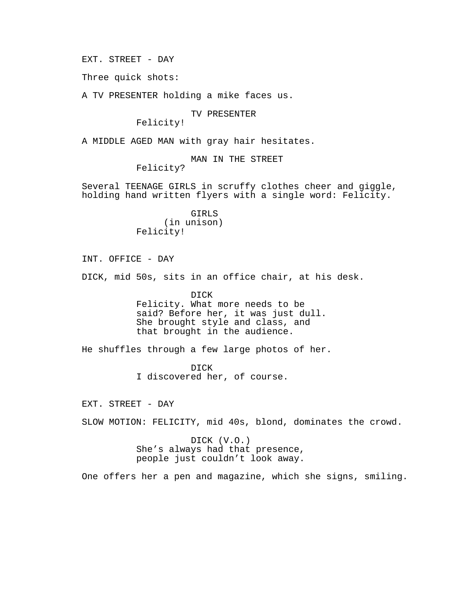EXT. STREET - DAY

Three quick shots:

A TV PRESENTER holding a mike faces us.

TV PRESENTER

Felicity!

A MIDDLE AGED MAN with gray hair hesitates.

MAN IN THE STREET

Felicity?

Several TEENAGE GIRLS in scruffy clothes cheer and giggle, holding hand written flyers with a single word: Felicity.

> GIRLS (in unison) Felicity!

INT. OFFICE - DAY

DICK, mid 50s, sits in an office chair, at his desk.

DICK Felicity. What more needs to be said? Before her, it was just dull. She brought style and class, and that brought in the audience.

He shuffles through a few large photos of her.

DICK I discovered her, of course.

EXT. STREET - DAY

SLOW MOTION: FELICITY, mid 40s, blond, dominates the crowd.

DICK (V.O.) She's always had that presence, people just couldn't look away.

One offers her a pen and magazine, which she signs, smiling.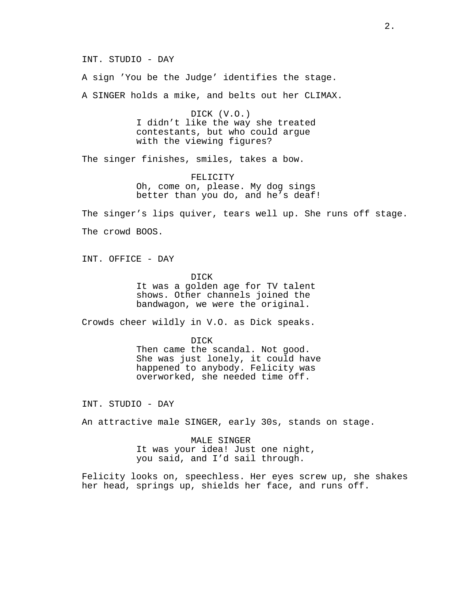INT. STUDIO - DAY

A sign 'You be the Judge' identifies the stage.

A SINGER holds a mike, and belts out her CLIMAX.

DICK (V.O.) I didn't like the way she treated contestants, but who could argue with the viewing figures?

The singer finishes, smiles, takes a bow.

FELICITY Oh, come on, please. My dog sings better than you do, and he's deaf!

The singer's lips quiver, tears well up. She runs off stage. The crowd BOOS.

INT. OFFICE - DAY

DICK It was a golden age for TV talent shows. Other channels joined the bandwagon, we were the original.

Crowds cheer wildly in V.O. as Dick speaks.

DICK Then came the scandal. Not good. She was just lonely, it could have happened to anybody. Felicity was overworked, she needed time off.

INT. STUDIO - DAY

An attractive male SINGER, early 30s, stands on stage.

MALE SINGER It was your idea! Just one night, you said, and I'd sail through.

Felicity looks on, speechless. Her eyes screw up, she shakes her head, springs up, shields her face, and runs off.